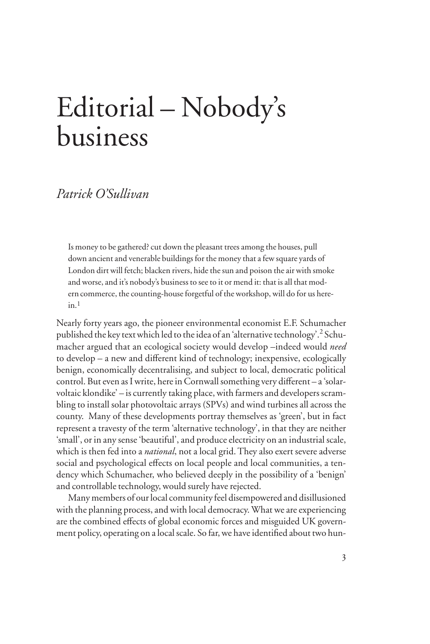## Editorial – Nobody's business

## *Patrick O'Sullivan*

Is money to be gathered? cut down the pleasant trees among the houses, pull down ancient and venerable buildings for the money that a few square yards of London dirt will fetch; blacken rivers, hide the sun and poison the air with smoke and worse, and it's nobody's business to see to it or mend it: that is all that modern commerce, the counting-house forgetful of the workshop, will do for us here $in<sub>1</sub>$ 

Nearly forty years ago, the pioneer environmental economist E.F. Schumacher published the key text which led to the idea of an 'alternative technology'.<sup>2</sup> Schumacher argued that an ecological society would develop –indeed would *need* to develop – a new and different kind of technology; inexpensive, ecologically benign, economically decentralising, and subject to local, democratic political control. But even as I write, here in Cornwall something very different – a 'solarvoltaic klondike' – is currently taking place, with farmers and developers scrambling to install solar photovoltaic arrays (SPVs) and wind turbines all across the county. Many of these developments portray themselves as 'green', but in fact represent a travesty of the term 'alternative technology', in that they are neither 'small', or in any sense 'beautiful', and produce electricity on an industrial scale, which is then fed into a *national*, not a local grid. They also exert severe adverse social and psychological effects on local people and local communities, a tendency which Schumacher, who believed deeply in the possibility of a 'benign' and controllable technology, would surely have rejected.

Many members of our local community feel disempowered and disillusioned with the planning process, and with local democracy. What we are experiencing are the combined effects of global economic forces and misguided UK government policy, operating on a local scale. So far, we have identified about two hun-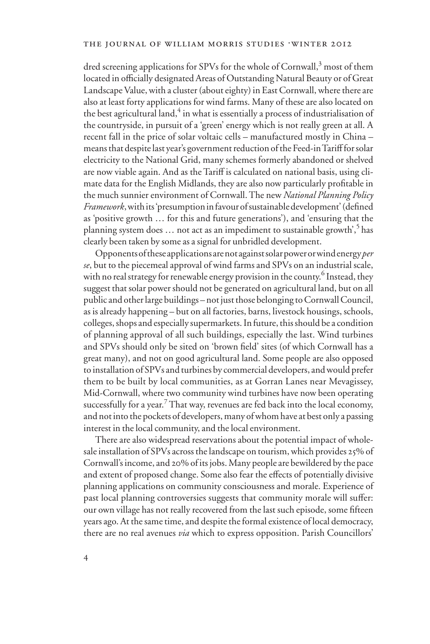dred screening applications for SPVs for the whole of Cornwall, $^3$  most of them located in officially designated Areas of Outstanding Natural Beauty or of Great Landscape Value, with a cluster (about eighty) in East Cornwall, where there are also at least forty applications for wind farms. Many of these are also located on the best agricultural land, $^4$  in what is essentially a process of industrialisation of the countryside, in pursuit of a 'green' energy which is not really green at all. A recent fall in the price of solar voltaic cells – manufactured mostly in China – means that despite last year's government reduction of the Feed-in Tariff for solar electricity to the National Grid, many schemes formerly abandoned or shelved are now viable again. And as the Tariff is calculated on national basis, using climate data for the English Midlands, they are also now particularly profitable in the much sunnier environment of Cornwall. The new *National Planning Policy Framework*, with its 'presumption in favour of sustainable development' (defined as 'positive growth … for this and future generations'), and 'ensuring that the planning system does  $\dots$  not act as an impediment to sustainable growth',<sup>5</sup> has clearly been taken by some as a signal for unbridled development.

Opponents of these applications are not against solar power or wind energy *per se*, but to the piecemeal approval of wind farms and SPVs on an industrial scale, with no real strategy for renewable energy provision in the county.<sup>6</sup> Instead, they suggest that solar power should not be generated on agricultural land, but on all public and other large buildings – not just those belonging to Cornwall Council, as is already happening – but on all factories, barns, livestock housings, schools, colleges, shops and especially supermarkets. In future, this should be a condition of planning approval of all such buildings, especially the last. Wind turbines and SPVs should only be sited on 'brown field' sites (of which Cornwall has a great many), and not on good agricultural land. Some people are also opposed to installation of SPVs and turbines by commercial developers, and would prefer them to be built by local communities, as at Gorran Lanes near Mevagissey, Mid-Cornwall, where two community wind turbines have now been operating successfully for a year.<sup>7</sup> That way, revenues are fed back into the local economy, and not into the pockets of developers, many of whom have at best only a passing interest in the local community, and the local environment.

There are also widespread reservations about the potential impact of wholesale installation of SPVs across the landscape on tourism, which provides 25% of Cornwall's income, and 20% of its jobs. Many people are bewildered by the pace and extent of proposed change. Some also fear the effects of potentially divisive planning applications on community consciousness and morale. Experience of past local planning controversies suggests that community morale will suffer: our own village has not really recovered from the last such episode, some fifteen years ago. At the same time, and despite the formal existence of local democracy, there are no real avenues *via* which to express opposition. Parish Councillors'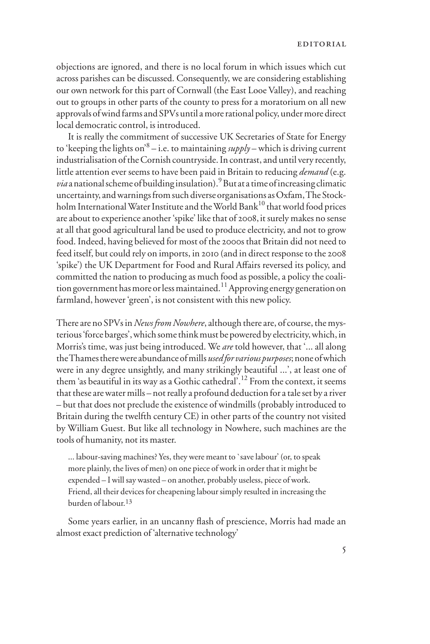objections are ignored, and there is no local forum in which issues which cut across parishes can be discussed. Consequently, we are considering establishing our own network for this part of Cornwall (the East Looe Valley), and reaching out to groups in other parts of the county to press for a moratorium on all new approvals of wind farms and SPVs until a more rational policy, under more direct local democratic control, is introduced.

It is really the commitment of successive UK Secretaries of State for Energy to 'keeping the lights on'8 – i.e. to maintaining *supply* – which is driving current industrialisation of the Cornish countryside. In contrast, and until very recently, little attention ever seems to have been paid in Britain to reducing *demand* (e.g. *via* a national scheme of building insulation).<sup>9</sup> But at a time of increasing climatic uncertainty, and warnings from such diverse organisations as Oxfam, The Stockholm International Water Institute and the World Bank<sup>10</sup> that world food prices are about to experience another 'spike' like that of 2008, it surely makes no sense at all that good agricultural land be used to produce electricity, and not to grow food. Indeed, having believed for most of the 2000s that Britain did not need to feed itself, but could rely on imports, in 2010 (and in direct response to the 2008 'spike') the UK Department for Food and Rural Affairs reversed its policy, and committed the nation to producing as much food as possible, a policy the coalition government has more or less maintained.<sup>11</sup> Approving energy generation on farmland, however 'green', is not consistent with this new policy.

There are no SPVs in *News from Nowhere*, although there are, of course, the mysterious 'force barges', which some think must be powered by electricity, which, in Morris's time, was just being introduced. We *are* told however, that '... all along the Thames there were abundance of mills *used for various purposes*; none of which were in any degree unsightly, and many strikingly beautiful ...', at least one of them 'as beautiful in its way as a Gothic cathedral'.<sup>12</sup> From the context, it seems that these are water mills – not really a profound deduction for a tale set by a river – but that does not preclude the existence of windmills (probably introduced to Britain during the twelfth century CE) in other parts of the country not visited by William Guest. But like all technology in Nowhere, such machines are the tools of humanity, not its master.

... labour-saving machines? Yes, they were meant to `save labour' (or, to speak more plainly, the lives of men) on one piece of work in order that it might be expended – I will say wasted – on another, probably useless, piece of work. Friend, all their devices for cheapening labour simply resulted in increasing the burden of labour.13

Some years earlier, in an uncanny flash of prescience, Morris had made an almost exact prediction of 'alternative technology'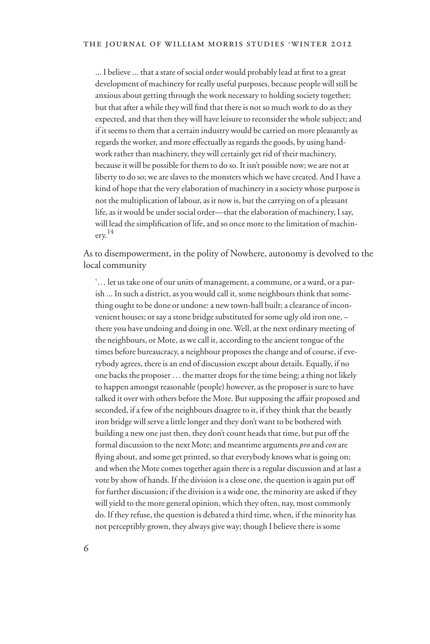... I believe ... that a state of social order would probably lead at first to a great development of machinery for really useful purposes, because people will still be anxious about getting through the work necessary to holding society together; but that after a while they will find that there is not so much work to do as they expected, and that then they will have leisure to reconsider the whole subject; and if it seems to them that a certain industry would be carried on more pleasantly as regards the worker, and more effectually as regards the goods, by using handwork rather than machinery, they will certainly get rid of their machinery, because it will be possible for them to do so. It isn't possible now; we are not at liberty to do so; we are slaves to the monsters which we have created. And I have a kind of hope that the very elaboration of machinery in a society whose purpose is not the multiplication of labour, as it now is, but the carrying on of a pleasant life, as it would be under social order—that the elaboration of machinery, I say, will lead the simplification of life, and so once more to the limitation of machinery. 14

As to disempowerment, in the polity of Nowhere, autonomy is devolved to the local community

'… let us take one of our units of management, a commune, or a ward, or a parish ... In such a district, as you would call it, some neighbours think that something ought to be done or undone: a new town-hall built; a clearance of inconvenient houses; or say a stone bridge substituted for some ugly old iron one, – there you have undoing and doing in one. Well, at the next ordinary meeting of the neighbours, or Mote, as we call it, according to the ancient tongue of the times before bureaucracy, a neighbour proposes the change and of course, if everybody agrees, there is an end of discussion except about details. Equally, if no one backs the proposer … the matter drops for the time being; a thing not likely to happen amongst reasonable (people) however, as the proposer is sure to have talked it over with others before the Mote. But supposing the affair proposed and seconded, if a few of the neighbours disagree to it, if they think that the beastly iron bridge will serve a little longer and they don't want to be bothered with building a new one just then, they don't count heads that time, but put off the formal discussion to the next Mote; and meantime arguments *pro* and *con* are flying about, and some get printed, so that everybody knows what is going on; and when the Mote comes together again there is a regular discussion and at last a vote by show of hands. If the division is a close one, the question is again put off for further discussion; if the division is a wide one, the minority are asked if they will yield to the more general opinion, which they often, nay, most commonly do. If they refuse, the question is debated a third time, when, if the minority has not perceptibly grown, they always give way; though I believe there is some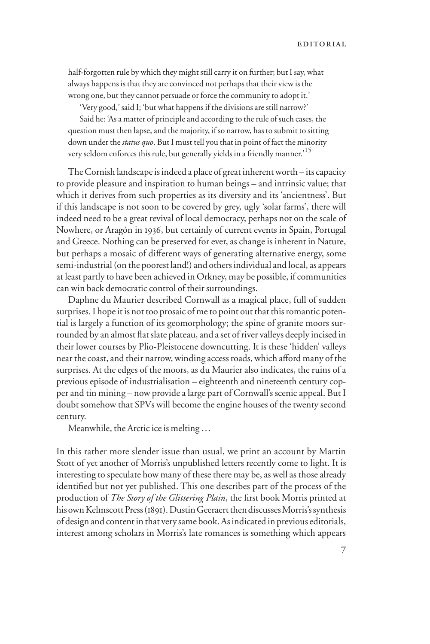half-forgotten rule by which they might still carry it on further; but I say, what always happens is that they are convinced not perhaps that their view is the wrong one, but they cannot persuade or force the community to adopt it.'

'Very good,' said I; 'but what happens if the divisions are still narrow?'

Said he: 'As a matter of principle and according to the rule of such cases, the question must then lapse, and the majority, if so narrow, has to submit to sitting down under the *status quo*. But I must tell you that in point of fact the minority very seldom enforces this rule, but generally yields in a friendly manner.'15

The Cornish landscape is indeed a place of great inherent worth – its capacity to provide pleasure and inspiration to human beings – and intrinsic value; that which it derives from such properties as its diversity and its 'ancientness'. But if this landscape is not soon to be covered by grey, ugly 'solar farms', there will indeed need to be a great revival of local democracy, perhaps not on the scale of Nowhere, or Aragón in 1936, but certainly of current events in Spain, Portugal and Greece. Nothing can be preserved for ever, as change is inherent in Nature, but perhaps a mosaic of different ways of generating alternative energy, some semi-industrial (on the poorest land!) and others individual and local, as appears at least partly to have been achieved in Orkney, may be possible, if communities can win back democratic control of their surroundings.

Daphne du Maurier described Cornwall as a magical place, full of sudden surprises. I hope it is not too prosaic of me to point out that this romantic potential is largely a function of its geomorphology; the spine of granite moors surrounded by an almost flat slate plateau, and a set of river valleys deeply incised in their lower courses by Plio-Pleistocene downcutting. It is these 'hidden' valleys near the coast, and their narrow, winding access roads, which afford many of the surprises. At the edges of the moors, as du Maurier also indicates, the ruins of a previous episode of industrialisation – eighteenth and nineteenth century copper and tin mining – now provide a large part of Cornwall's scenic appeal. But I doubt somehow that SPVs will become the engine houses of the twenty second century.

Meanwhile, the Arctic ice is melting …

In this rather more slender issue than usual, we print an account by Martin Stott of yet another of Morris's unpublished letters recently come to light. It is interesting to speculate how many of these there may be, as well as those already identified but not yet published. This one describes part of the process of the production of *The Story of the Glittering Plain*, the first book Morris printed at his own Kelmscott Press (1891). Dustin Geeraert then discusses Morris's synthesis of design and content in that very same book. As indicated in previous editorials, interest among scholars in Morris's late romances is something which appears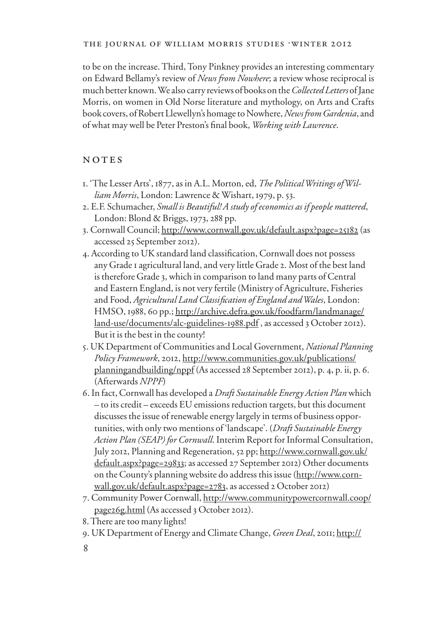to be on the increase. Third, Tony Pinkney provides an interesting commentary on Edward Bellamy's review of *News from Nowhere*; a review whose reciprocal is much better known. We also carry reviews of books on the *Collected Letters* of Jane Morris, on women in Old Norse literature and mythology, on Arts and Crafts book covers, of Robert Llewellyn's homage to Nowhere, *News from Gardenia*, and of what may well be Peter Preston's final book, Working with Lawrence.

## NOTES

- 1. 'The Lesser Arts', 1877, as in A.L. Morton, ed, *The Political Writings of William Morris*, London: Lawrence & Wishart, 1979, p. 53.
- 2. E.F. Schumacher, *Small is Beautiful! A study of economics as if people mattered*, London: Blond & Briggs, 1973, 288 pp.
- 3. Cornwall Council; http://www.cornwall.gov.uk/default.aspx?page=25182 (as accessed 25 September 2012).
- 4. According to UK standard land classification, Cornwall does not possess any Grade 1 agricultural land, and very little Grade 2. Most of the best land is therefore Grade 3, which in comparison to land many parts of Central and Eastern England, is not very fertile (Ministry of Agriculture, Fisheries and Food, *Agricultural Land Classification of England and Wales*, London: HMSO, 1988, 60 pp.; http://archive.defra.gov.uk/foodfarm/landmanage/ land-use/documents/alc-guidelines-1988.pdf , as accessed 3 October 2012). But it is the best in the county!
- 5. UK Department of Communities and Local Government, *National Planning Policy Framework*, 2012, http://www.communities.gov.uk/publications/ planningandbuilding/nppf (As accessed 28 September 2012), p. 4, p. ii, p. 6. (Afterwards *NPPF*)
- 6. In fact, Cornwall has developed a *Draft Sustainable Energy Action Plan* which – to its credit – exceeds EU emissions reduction targets, but this document discusses the issue of renewable energy largely in terms of business opportunities, with only two mentions of 'landscape'. (*Draft Sustainable Energy Action Plan (SEAP) for Cornwall*. Interim Report for Informal Consultation, July 2012, Planning and Regeneration, 52 pp; http://www.cornwall.gov.uk/ default.aspx?page=29833; as accessed 27 September 2012) Other documents on the County's planning website do address this issue (http://www.cornwall.gov.uk/default.aspx?page=2783, as accessed 2 October 2012)
- 7. Community Power Cornwall, http://www.communitypowercornwall.coop/ page26g.html (As accessed 3 October 2012).
- 8. There are too many lights!
- 9. UK Department of Energy and Climate Change, *Green Deal*, 2011; http://
- 8